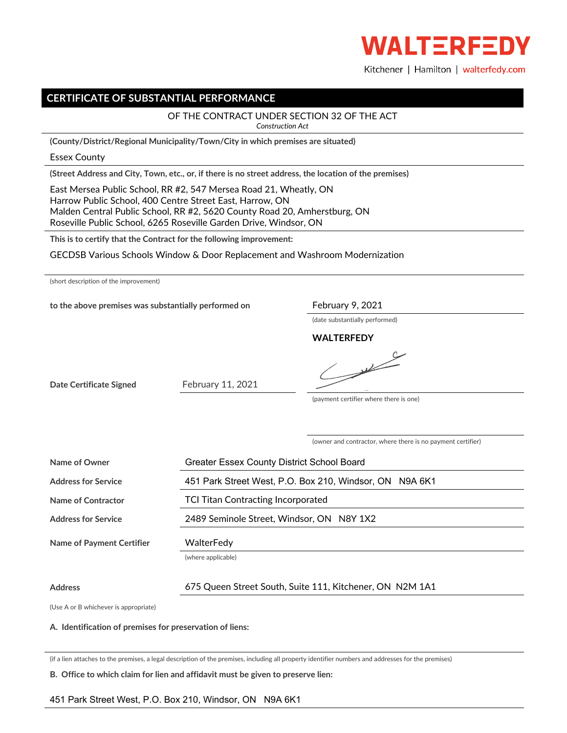

Kitchener | Hamilton | walterfedy.com

# **CERTIFICATE OF SUBSTANTIAL PERFORMANCE**

### OF THE CONTRACT UNDER SECTION 32 OF THE ACT

*Construction Act*

**(County/District/Regional Municipality/Town/City in which premises are situated)**

#### Essex County

**(Street Address and City, Town, etc., or, if there is no street address, the location of the premises)**

East Mersea Public School, RR #2, 547 Mersea Road 21, Wheatly, ON Harrow Public School, 400 Centre Street East, Harrow, ON Malden Central Public School, RR #2, 5620 County Road 20, Amherstburg, ON Roseville Public School, 6265 Roseville Garden Drive, Windsor, ON

**This is to certify that the Contract for the following improvement:**

GECDSB Various Schools Window & Door Replacement and Washroom Modernization

| (short description of the improvement) |  |  |
|----------------------------------------|--|--|
|----------------------------------------|--|--|

to the above premises was substantially performed on February 9, 2021

(date substantially performed)

**WALTERFEDY**

**Date Certificate Signed**

February 11, 2021

(payment certifier where there is one)

 $\frac{1}{\sqrt{2\pi}}\sum_{n=1}^{\infty}\frac{1}{n^{n}}\left( \frac{1}{n^{n}}\right) ^{n}$ 

(owner and contractor, where there is no payment certifier)

 $\subset$ 

| <b>Greater Essex County District School Board</b>        |
|----------------------------------------------------------|
| 451 Park Street West, P.O. Box 210, Windsor, ON N9A 6K1  |
| <b>TCI Titan Contracting Incorporated</b>                |
| 2489 Seminole Street, Windsor, ON N8Y 1X2                |
| WalterFedv                                               |
| (where applicable)                                       |
| 675 Queen Street South, Suite 111, Kitchener, ON N2M 1A1 |
|                                                          |

(Use A or B whichever is appropriate)

### **A. Identification of premises for preservation of liens:**

(if a lien attaches to the premises, a legal description of the premises, including all property identifier numbers and addresses for the premises)

**B. Office to which claim for lien and affidavit must be given to preserve lien:**

## 451 Park Street West, P.O. Box 210, Windsor, ON N9A 6K1